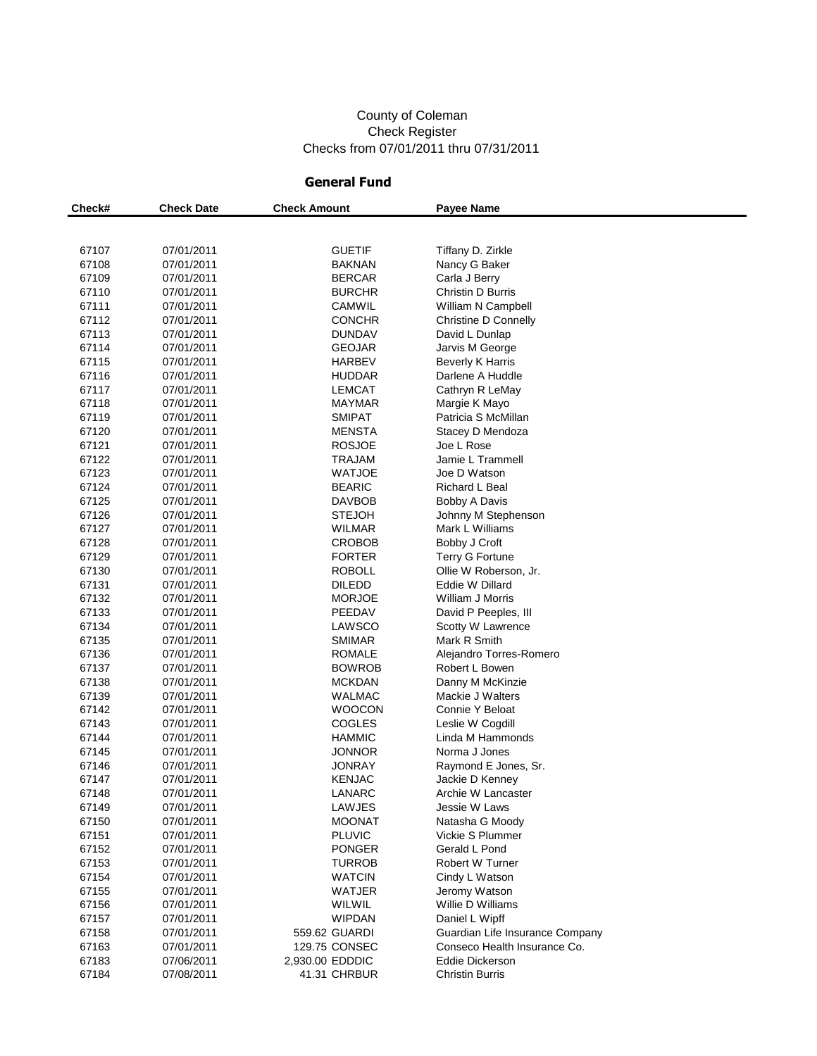#### County of Coleman Check Register Checks from 07/01/2011 thru 07/31/2011

#### **General Fund**

| Check# | <b>Check Date</b> | <b>Check Amount</b> | <b>Payee Name</b>               |
|--------|-------------------|---------------------|---------------------------------|
|        |                   |                     |                                 |
|        |                   |                     |                                 |
| 67107  | 07/01/2011        | <b>GUETIF</b>       | Tiffany D. Zirkle               |
| 67108  | 07/01/2011        | BAKNAN              | Nancy G Baker                   |
| 67109  | 07/01/2011        | BERCAR              | Carla J Berry                   |
| 67110  | 07/01/2011        | BURCHR              | Christin D Burris               |
| 67111  | 07/01/2011        | CAMWIL              | William N Campbell              |
| 67112  | 07/01/2011        | <b>CONCHR</b>       | Christine D Connelly            |
| 67113  | 07/01/2011        | DUNDAV              | David L Dunlap                  |
| 67114  | 07/01/2011        | GEOJAR              | Jarvis M George                 |
| 67115  | 07/01/2011        | HARBEV              | <b>Beverly K Harris</b>         |
| 67116  | 07/01/2011        | HUDDAR              | Darlene A Huddle                |
| 67117  | 07/01/2011        | LEMCAT              | Cathryn R LeMay                 |
| 67118  | 07/01/2011        | <b>MAYMAR</b>       | Margie K Mayo                   |
| 67119  | 07/01/2011        | <b>SMIPAT</b>       | Patricia S McMillan             |
| 67120  | 07/01/2011        | <b>MENSTA</b>       | Stacey D Mendoza                |
| 67121  | 07/01/2011        | <b>ROSJOE</b>       | Joe L Rose                      |
| 67122  | 07/01/2011        | <b>TRAJAM</b>       | Jamie L Trammell                |
| 67123  | 07/01/2011        | <b>WATJOE</b>       | Joe D Watson                    |
| 67124  | 07/01/2011        | <b>BEARIC</b>       | <b>Richard L Beal</b>           |
| 67125  | 07/01/2011        | <b>DAVBOB</b>       | Bobby A Davis                   |
| 67126  | 07/01/2011        | <b>STEJOH</b>       | Johnny M Stephenson             |
| 67127  | 07/01/2011        | WILMAR              | Mark L Williams                 |
| 67128  | 07/01/2011        | CROBOB              | Bobby J Croft                   |
| 67129  | 07/01/2011        | FORTER              | Terry G Fortune                 |
| 67130  | 07/01/2011        | ROBOLL              | Ollie W Roberson, Jr.           |
| 67131  | 07/01/2011        | DILEDD              | Eddie W Dillard                 |
| 67132  | 07/01/2011        | <b>MORJOE</b>       | William J Morris                |
| 67133  | 07/01/2011        | PEEDAV              | David P Peeples, III            |
| 67134  | 07/01/2011        | LAWSCO              | Scotty W Lawrence               |
| 67135  | 07/01/2011        | SMIMAR              | Mark R Smith                    |
| 67136  | 07/01/2011        | ROMALE              | Alejandro Torres-Romero         |
| 67137  | 07/01/2011        | BOWROB              | Robert L Bowen                  |
| 67138  | 07/01/2011        | <b>MCKDAN</b>       | Danny M McKinzie                |
| 67139  | 07/01/2011        | WALMAC              | Mackie J Walters                |
| 67142  | 07/01/2011        | WOOCON              | Connie Y Beloat                 |
| 67143  | 07/01/2011        | <b>COGLES</b>       | Leslie W Cogdill                |
| 67144  | 07/01/2011        | HAMMIC              | Linda M Hammonds                |
| 67145  | 07/01/2011        | <b>JONNOR</b>       | Norma J Jones                   |
| 67146  | 07/01/2011        | <b>JONRAY</b>       | Raymond E Jones, Sr.            |
| 67147  | 07/01/2011        | <b>KENJAC</b>       | Jackie D Kenney                 |
| 67148  | 07/01/2011        | LANARC              | Archie W Lancaster              |
| 67149  | 07/01/2011        | <b>LAWJES</b>       | Jessie W Laws                   |
| 67150  | 07/01/2011        | <b>MOONAT</b>       | Natasha G Moody                 |
| 67151  | 07/01/2011        | <b>PLUVIC</b>       | Vickie S Plummer                |
| 67152  | 07/01/2011        | <b>PONGER</b>       | Gerald L Pond                   |
| 67153  | 07/01/2011        | <b>TURROB</b>       | Robert W Turner                 |
| 67154  | 07/01/2011        | <b>WATCIN</b>       | Cindy L Watson                  |
| 67155  | 07/01/2011        | WATJER              | Jeromy Watson                   |
| 67156  | 07/01/2011        | WILWIL              | Willie D Williams               |
| 67157  | 07/01/2011        | <b>WIPDAN</b>       | Daniel L Wipff                  |
| 67158  | 07/01/2011        | 559.62 GUARDI       | Guardian Life Insurance Company |
| 67163  | 07/01/2011        | 129.75 CONSEC       | Conseco Health Insurance Co.    |
| 67183  | 07/06/2011        | 2,930.00 EDDDIC     | <b>Eddie Dickerson</b>          |
| 67184  | 07/08/2011        | 41.31 CHRBUR        | <b>Christin Burris</b>          |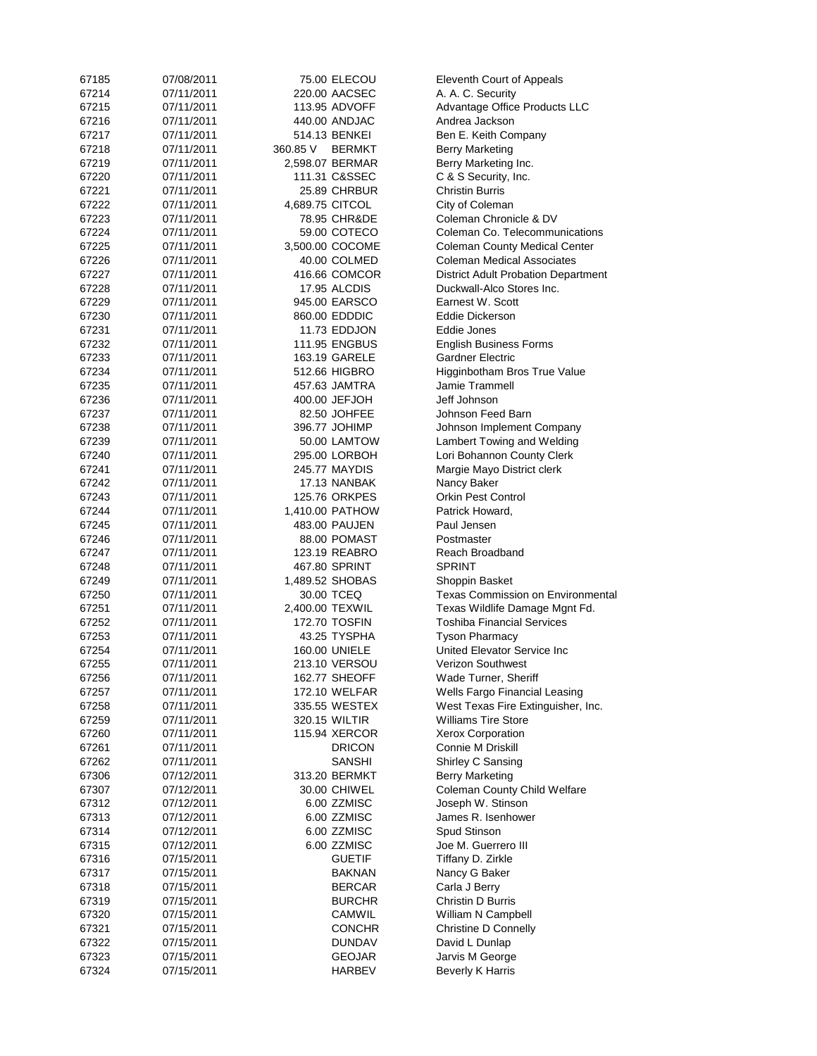| 67185 | 07/08/2011 |                 | 75.00 ELECOU         | Eleventh Court of Appeals                  |
|-------|------------|-----------------|----------------------|--------------------------------------------|
| 67214 | 07/11/2011 |                 | 220.00 AACSEC        | A. A. C. Security                          |
| 67215 | 07/11/2011 |                 | 113.95 ADVOFF        | <b>Advantage Office Products LLC</b>       |
| 67216 | 07/11/2011 |                 | 440.00 ANDJAC        | Andrea Jackson                             |
| 67217 | 07/11/2011 |                 | 514.13 BENKEI        | Ben E. Keith Company                       |
|       |            |                 |                      |                                            |
| 67218 | 07/11/2011 | 360.85 V        | <b>BERMKT</b>        | <b>Berry Marketing</b>                     |
| 67219 | 07/11/2011 |                 | 2,598.07 BERMAR      | Berry Marketing Inc.                       |
| 67220 | 07/11/2011 |                 | 111.31 C&SSEC        | C & S Security, Inc.                       |
| 67221 | 07/11/2011 |                 | 25.89 CHRBUR         | <b>Christin Burris</b>                     |
| 67222 | 07/11/2011 | 4,689.75 CITCOL |                      | City of Coleman                            |
| 67223 | 07/11/2011 |                 | 78.95 CHR&DE         | Coleman Chronicle & DV                     |
| 67224 | 07/11/2011 |                 | 59.00 COTECO         | Coleman Co. Telecommunications             |
| 67225 | 07/11/2011 |                 | 3,500.00 COCOME      | <b>Coleman County Medical Center</b>       |
| 67226 | 07/11/2011 |                 | 40.00 COLMED         | <b>Coleman Medical Associates</b>          |
| 67227 | 07/11/2011 |                 | 416.66 COMCOR        | <b>District Adult Probation Department</b> |
| 67228 | 07/11/2011 |                 | 17.95 ALCDIS         | Duckwall-Alco Stores Inc.                  |
|       |            |                 |                      |                                            |
| 67229 | 07/11/2011 |                 | 945.00 EARSCO        | Earnest W. Scott                           |
| 67230 | 07/11/2011 |                 | 860.00 EDDDIC        | Eddie Dickerson                            |
| 67231 | 07/11/2011 |                 | 11.73 EDDJON         | Eddie Jones                                |
| 67232 | 07/11/2011 |                 | <b>111.95 ENGBUS</b> | <b>English Business Forms</b>              |
| 67233 | 07/11/2011 |                 | 163.19 GARELE        | <b>Gardner Electric</b>                    |
| 67234 | 07/11/2011 |                 | 512.66 HIGBRO        | Higginbotham Bros True Value               |
| 67235 | 07/11/2011 |                 | 457.63 JAMTRA        | Jamie Trammell                             |
| 67236 | 07/11/2011 |                 | 400.00 JEFJOH        | Jeff Johnson                               |
| 67237 | 07/11/2011 |                 | 82.50 JOHFEE         | Johnson Feed Barn                          |
| 67238 | 07/11/2011 |                 | 396.77 JOHIMP        | Johnson Implement Company                  |
|       |            |                 |                      |                                            |
| 67239 | 07/11/2011 |                 | 50.00 LAMTOW         | Lambert Towing and Welding                 |
| 67240 | 07/11/2011 |                 | 295.00 LORBOH        | Lori Bohannon County Clerk                 |
| 67241 | 07/11/2011 |                 | 245.77 MAYDIS        | Margie Mayo District clerk                 |
| 67242 | 07/11/2011 |                 | 17.13 NANBAK         | Nancy Baker                                |
| 67243 | 07/11/2011 |                 | 125.76 ORKPES        | <b>Orkin Pest Control</b>                  |
| 67244 | 07/11/2011 |                 | 1,410.00 PATHOW      | Patrick Howard,                            |
| 67245 | 07/11/2011 |                 | 483.00 PAUJEN        | Paul Jensen                                |
| 67246 | 07/11/2011 |                 | 88.00 POMAST         | Postmaster                                 |
| 67247 | 07/11/2011 |                 | 123.19 REABRO        | Reach Broadband                            |
| 67248 | 07/11/2011 |                 | 467.80 SPRINT        | <b>SPRINT</b>                              |
| 67249 | 07/11/2011 |                 | 1,489.52 SHOBAS      | Shoppin Basket                             |
| 67250 | 07/11/2011 |                 | 30.00 TCEQ           | <b>Texas Commission on Environmental</b>   |
|       |            |                 |                      |                                            |
| 67251 | 07/11/2011 | 2,400.00 TEXWIL |                      | Texas Wildlife Damage Mgnt Fd.             |
| 67252 | 07/11/2011 |                 | 172.70 TOSFIN        | <b>Toshiba Financial Services</b>          |
| 67253 | 07/11/2011 |                 | 43.25 TYSPHA         | <b>Tyson Pharmacy</b>                      |
| 67254 | 07/11/2011 |                 | 160.00 UNIELE        | United Elevator Service Inc                |
| 67255 | 07/11/2011 |                 | 213.10 VERSOU        | Verizon Southwest                          |
| 67256 | 07/11/2011 |                 | 162.77 SHEOFF        | Wade Turner, Sheriff                       |
| 67257 | 07/11/2011 |                 | 172.10 WELFAR        | Wells Fargo Financial Leasing              |
| 67258 | 07/11/2011 |                 | 335.55 WESTEX        | West Texas Fire Extinguisher, Inc.         |
| 67259 | 07/11/2011 |                 | 320.15 WILTIR        | <b>Williams Tire Store</b>                 |
| 67260 | 07/11/2011 |                 | 115.94 XERCOR        | Xerox Corporation                          |
| 67261 | 07/11/2011 |                 | <b>DRICON</b>        | Connie M Driskill                          |
|       | 07/11/2011 |                 |                      | Shirley C Sansing                          |
| 67262 |            |                 | <b>SANSHI</b>        |                                            |
| 67306 | 07/12/2011 |                 | 313.20 BERMKT        | <b>Berry Marketing</b>                     |
| 67307 | 07/12/2011 |                 | 30.00 CHIWEL         | Coleman County Child Welfare               |
| 67312 | 07/12/2011 |                 | 6.00 ZZMISC          | Joseph W. Stinson                          |
| 67313 | 07/12/2011 |                 | 6.00 ZZMISC          | James R. Isenhower                         |
| 67314 | 07/12/2011 |                 | 6.00 ZZMISC          | Spud Stinson                               |
| 67315 | 07/12/2011 |                 | 6.00 ZZMISC          | Joe M. Guerrero III                        |
| 67316 | 07/15/2011 |                 | <b>GUETIF</b>        | Tiffany D. Zirkle                          |
| 67317 | 07/15/2011 |                 | <b>BAKNAN</b>        | Nancy G Baker                              |
| 67318 | 07/15/2011 |                 | <b>BERCAR</b>        | Carla J Berry                              |
| 67319 | 07/15/2011 |                 | <b>BURCHR</b>        | Christin D Burris                          |
|       |            |                 | <b>CAMWIL</b>        |                                            |
| 67320 | 07/15/2011 |                 |                      | William N Campbell                         |
| 67321 | 07/15/2011 |                 | <b>CONCHR</b>        | Christine D Connelly                       |
| 67322 | 07/15/2011 |                 | <b>DUNDAV</b>        | David L Dunlap                             |
| 67323 | 07/15/2011 |                 | <b>GEOJAR</b>        | Jarvis M George                            |
| 67324 | 07/15/2011 |                 | HARBEV               | <b>Beverly K Harris</b>                    |
|       |            |                 |                      |                                            |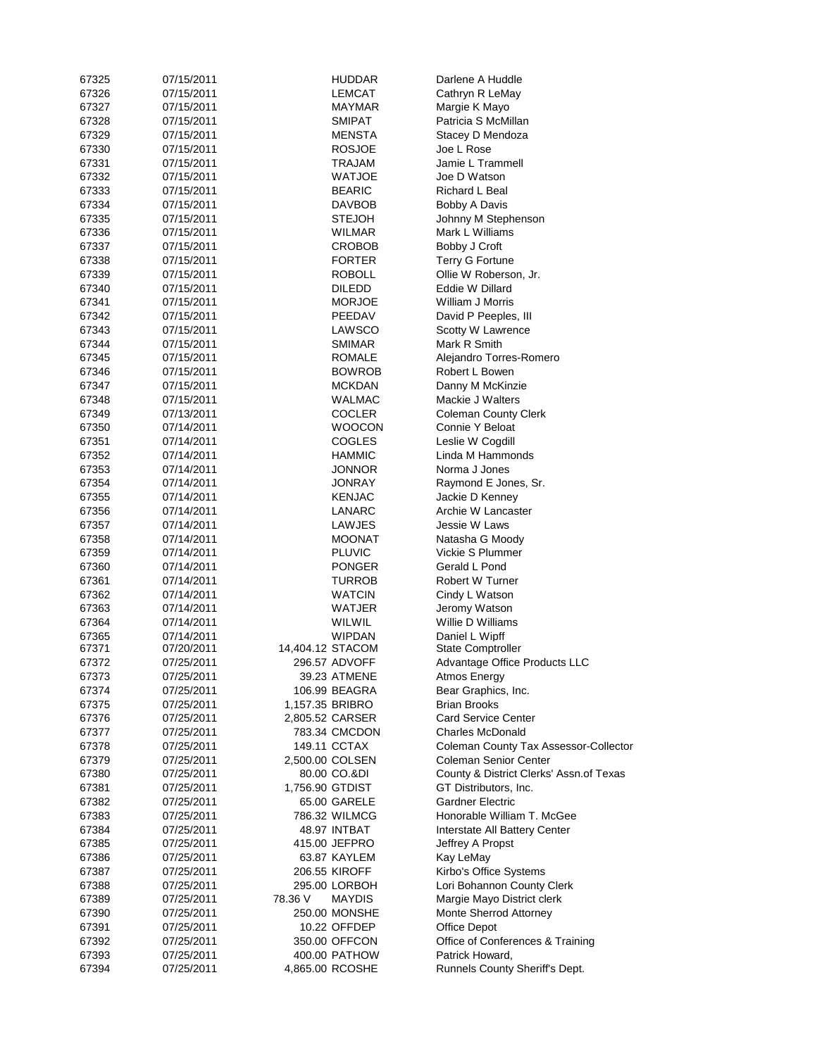| 67325 | 07/15/2011 |         | HUDDAR                            | Darlene A Huddle                        |
|-------|------------|---------|-----------------------------------|-----------------------------------------|
| 67326 | 07/15/2011 |         | LEMCAT                            | Cathryn R LeMay                         |
| 67327 | 07/15/2011 |         | MAYMAR                            | Margie K Mayo                           |
| 67328 | 07/15/2011 |         | SMIPAT                            | Patricia S McMillan                     |
| 67329 | 07/15/2011 |         | MENSTA                            | Stacey D Mendoza                        |
| 67330 | 07/15/2011 |         | <b>ROSJOE</b>                     | Joe L Rose                              |
| 67331 | 07/15/2011 |         | TRAJAM                            | Jamie L Trammell                        |
| 67332 | 07/15/2011 |         | <b>WATJOE</b>                     | Joe D Watson                            |
| 67333 | 07/15/2011 |         | <b>BEARIC</b>                     | Richard L Beal                          |
| 67334 | 07/15/2011 |         | DAVBOB                            | Bobby A Davis                           |
| 67335 | 07/15/2011 |         | STEJOH                            | Johnny M Stephenson                     |
|       |            |         |                                   |                                         |
| 67336 | 07/15/2011 |         | WILMAR                            | Mark L Williams                         |
| 67337 | 07/15/2011 |         | CROBOB                            | Bobby J Croft                           |
| 67338 | 07/15/2011 |         | <b>FORTER</b>                     | <b>Terry G Fortune</b>                  |
| 67339 | 07/15/2011 |         | ROBOLL                            | Ollie W Roberson, Jr.                   |
| 67340 | 07/15/2011 |         | <b>DILEDD</b>                     | Eddie W Dillard                         |
| 67341 | 07/15/2011 |         | <b>MORJOE</b>                     | William J Morris                        |
| 67342 | 07/15/2011 |         | PEEDAV                            | David P Peeples, III                    |
| 67343 | 07/15/2011 |         | LAWSCO                            | Scotty W Lawrence                       |
| 67344 | 07/15/2011 |         | <b>SMIMAR</b>                     | Mark R Smith                            |
| 67345 | 07/15/2011 |         | ROMALE                            | Alejandro Torres-Romero                 |
| 67346 | 07/15/2011 |         | <b>BOWROB</b>                     | Robert L Bowen                          |
| 67347 | 07/15/2011 |         | <b>MCKDAN</b>                     | Danny M McKinzie                        |
| 67348 | 07/15/2011 |         | WALMAC                            | Mackie J Walters                        |
| 67349 | 07/13/2011 |         | COCLER                            | <b>Coleman County Clerk</b>             |
| 67350 | 07/14/2011 |         | WOOCON                            | Connie Y Beloat                         |
| 67351 | 07/14/2011 |         | <b>COGLES</b>                     | Leslie W Cogdill                        |
| 67352 | 07/14/2011 |         | HAMMIC                            | Linda M Hammonds                        |
| 67353 | 07/14/2011 |         | JONNOR                            | Norma J Jones                           |
| 67354 | 07/14/2011 |         | JONRAY                            | Raymond E Jones, Sr.                    |
| 67355 | 07/14/2011 |         | KENJAC                            | Jackie D Kenney                         |
| 67356 | 07/14/2011 |         | LANARC                            | Archie W Lancaster                      |
| 67357 | 07/14/2011 |         | LAWJES                            | Jessie W Laws                           |
| 67358 | 07/14/2011 |         | MOONAT                            | Natasha G Moody                         |
| 67359 | 07/14/2011 |         | <b>PLUVIC</b>                     | Vickie S Plummer                        |
| 67360 | 07/14/2011 |         | <b>PONGER</b>                     | Gerald L Pond                           |
| 67361 | 07/14/2011 |         | TURROB                            | Robert W Turner                         |
| 67362 |            |         |                                   |                                         |
|       | 07/14/2011 |         | <b>WATCIN</b>                     | Cindy L Watson                          |
| 67363 | 07/14/2011 |         | <b>WATJER</b>                     | Jeromy Watson                           |
| 67364 | 07/14/2011 |         | WILWIL                            | Willie D Williams                       |
| 67365 | 07/14/2011 |         | <b>WIPDAN</b><br>14,404.12 STACOM | Daniel L Wipff                          |
| 67371 | 07/20/2011 |         |                                   | <b>State Comptroller</b>                |
| 67372 | 07/25/2011 |         | 296.57 ADVOFF                     | Advantage Office Products LLC           |
| 67373 | 07/25/2011 |         | 39.23 ATMENE                      | <b>Atmos Energy</b>                     |
| 67374 | 07/25/2011 |         | 106.99 BEAGRA                     | Bear Graphics, Inc.                     |
| 67375 | 07/25/2011 |         | 1,157.35 BRIBRO                   | <b>Brian Brooks</b>                     |
| 67376 | 07/25/2011 |         | 2,805.52 CARSER                   | <b>Card Service Center</b>              |
| 67377 | 07/25/2011 |         | 783.34 CMCDON                     | <b>Charles McDonald</b>                 |
| 67378 | 07/25/2011 |         | 149.11 CCTAX                      | Coleman County Tax Assessor-Collector   |
| 67379 | 07/25/2011 |         | 2,500.00 COLSEN                   | <b>Coleman Senior Center</b>            |
| 67380 | 07/25/2011 |         | 80.00 CO.&DI                      | County & District Clerks' Assn.of Texas |
| 67381 | 07/25/2011 |         | 1,756.90 GTDIST                   | GT Distributors, Inc.                   |
| 67382 | 07/25/2011 |         | 65.00 GARELE                      | <b>Gardner Electric</b>                 |
| 67383 | 07/25/2011 |         | 786.32 WILMCG                     | Honorable William T. McGee              |
| 67384 | 07/25/2011 |         | 48.97 INTBAT                      | Interstate All Battery Center           |
| 67385 | 07/25/2011 |         | 415.00 JEFPRO                     | Jeffrey A Propst                        |
| 67386 | 07/25/2011 |         | 63.87 KAYLEM                      | Kay LeMay                               |
| 67387 | 07/25/2011 |         | 206.55 KIROFF                     | Kirbo's Office Systems                  |
| 67388 | 07/25/2011 |         | 295.00 LORBOH                     | Lori Bohannon County Clerk              |
| 67389 | 07/25/2011 | 78.36 V | MAYDIS                            | Margie Mayo District clerk              |
| 67390 | 07/25/2011 |         | 250.00 MONSHE                     | Monte Sherrod Attorney                  |
| 67391 | 07/25/2011 |         | 10.22 OFFDEP                      | <b>Office Depot</b>                     |
| 67392 | 07/25/2011 |         | 350.00 OFFCON                     | Office of Conferences & Training        |
| 67393 | 07/25/2011 |         | 400.00 PATHOW                     | Patrick Howard,                         |
| 67394 | 07/25/2011 |         | 4,865.00 RCOSHE                   | Runnels County Sheriff's Dept.          |
|       |            |         |                                   |                                         |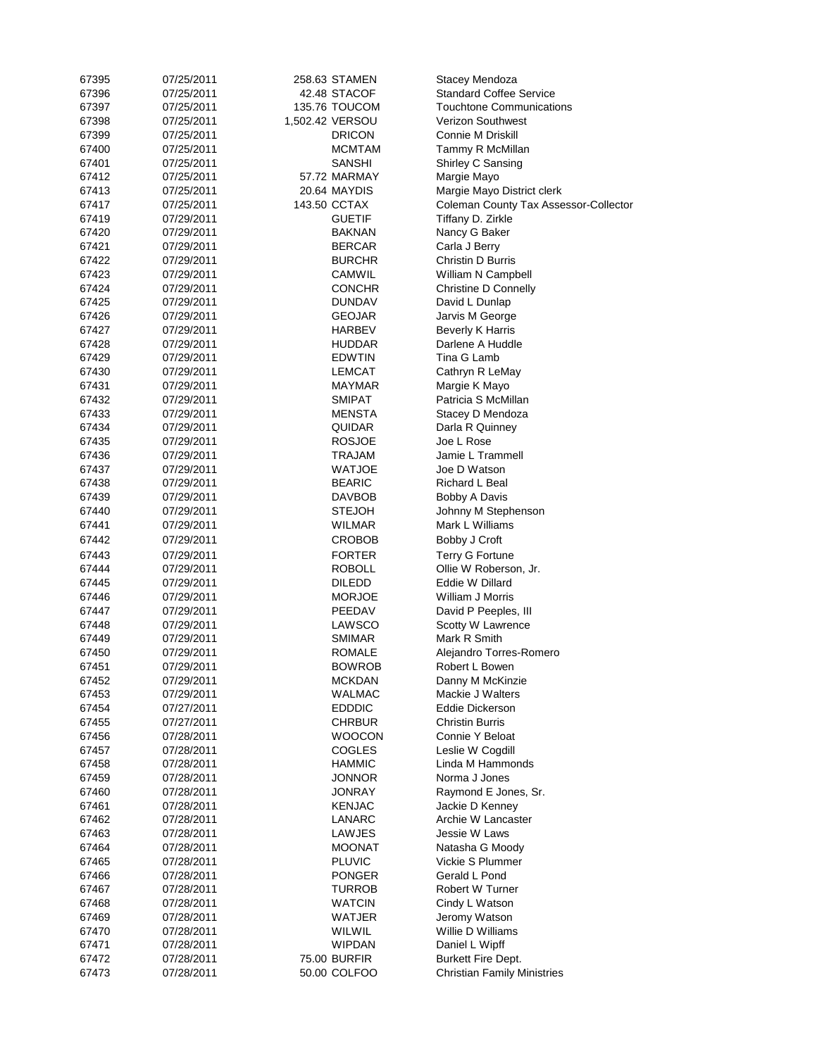| 67395 | 07/25/2011 | 258.63 STAMEN   | Stacey Mendoza                        |
|-------|------------|-----------------|---------------------------------------|
| 67396 | 07/25/2011 | 42.48 STACOF    | <b>Standard Coffee Service</b>        |
| 67397 | 07/25/2011 | 135.76 TOUCOM   | <b>Touchtone Communications</b>       |
| 67398 | 07/25/2011 | 1,502.42 VERSOU | <b>Verizon Southwest</b>              |
| 67399 | 07/25/2011 | DRICON          | Connie M Driskill                     |
| 67400 | 07/25/2011 | MCMTAM          | Tammy R McMillan                      |
| 67401 | 07/25/2011 | SANSHI          | Shirley C Sansing                     |
| 67412 | 07/25/2011 | 57.72 MARMAY    | Margie Mayo                           |
| 67413 | 07/25/2011 | 20.64 MAYDIS    | Margie Mayo District clerk            |
| 67417 | 07/25/2011 | 143.50 CCTAX    | Coleman County Tax Assessor-Collector |
| 67419 | 07/29/2011 | GUETIF          | Tiffany D. Zirkle                     |
| 67420 | 07/29/2011 | BAKNAN          | Nancy G Baker                         |
| 67421 | 07/29/2011 | <b>BERCAR</b>   | Carla J Berry                         |
| 67422 | 07/29/2011 | BURCHR          | Christin D Burris                     |
| 67423 |            | CAMWIL          | William N Campbell                    |
|       | 07/29/2011 |                 |                                       |
| 67424 | 07/29/2011 | CONCHR          | Christine D Connelly                  |
| 67425 | 07/29/2011 | DUNDAV          | David L Dunlap                        |
| 67426 | 07/29/2011 | GEOJAR          | Jarvis M George                       |
| 67427 | 07/29/2011 | HARBEV          | <b>Beverly K Harris</b>               |
| 67428 | 07/29/2011 | HUDDAR          | Darlene A Huddle                      |
| 67429 | 07/29/2011 | EDWTIN          | Tina G Lamb                           |
| 67430 | 07/29/2011 | LEMCAT          | Cathryn R LeMay                       |
| 67431 | 07/29/2011 | MAYMAR          | Margie K Mayo                         |
| 67432 | 07/29/2011 | SMIPAT          | Patricia S McMillan                   |
| 67433 | 07/29/2011 | MENSTA          | Stacey D Mendoza                      |
| 67434 | 07/29/2011 | QUIDAR          | Darla R Quinney                       |
| 67435 | 07/29/2011 | ROSJOE          | Joe L Rose                            |
| 67436 | 07/29/2011 | TRAJAM          | Jamie L Trammell                      |
| 67437 | 07/29/2011 | WATJOE          | Joe D Watson                          |
| 67438 | 07/29/2011 | BEARIC          | Richard L Beal                        |
| 67439 | 07/29/2011 | DAVBOB          | Bobby A Davis                         |
| 67440 | 07/29/2011 | STEJOH          | Johnny M Stephenson                   |
| 67441 | 07/29/2011 | WILMAR          | Mark L Williams                       |
| 67442 | 07/29/2011 | CROBOB          | Bobby J Croft                         |
|       |            |                 |                                       |
| 67443 | 07/29/2011 | FORTER          | Terry G Fortune                       |
| 67444 | 07/29/2011 | ROBOLL          | Ollie W Roberson, Jr.                 |
| 67445 | 07/29/2011 | DILEDD          | Eddie W Dillard                       |
| 67446 | 07/29/2011 | MORJOE          | William J Morris                      |
| 67447 | 07/29/2011 | PEEDAV          | David P Peeples, III                  |
| 67448 | 07/29/2011 | LAWSCO          | Scotty W Lawrence                     |
| 67449 | 07/29/2011 | SMIMAR          | Mark R Smith                          |
| 67450 | 07/29/2011 | ROMALE          | Alejandro Torres-Romero               |
| 67451 | 07/29/2011 | BOWROB          | Robert L Bowen                        |
| 67452 | 07/29/2011 | MCKDAN          | Danny M McKinzie                      |
| 67453 | 07/29/2011 | WALMAC          | Mackie J Walters                      |
| 67454 | 07/27/2011 | <b>EDDDIC</b>   | Eddie Dickerson                       |
| 67455 | 07/27/2011 | CHRBUR          | <b>Christin Burris</b>                |
| 67456 | 07/28/2011 | WOOCON          | Connie Y Beloat                       |
| 67457 | 07/28/2011 | COGLES          | Leslie W Cogdill                      |
| 67458 | 07/28/2011 | HAMMIC          | Linda M Hammonds                      |
| 67459 | 07/28/2011 | <b>JONNOR</b>   | Norma J Jones                         |
| 67460 | 07/28/2011 | JONRAY          | Raymond E Jones, Sr.                  |
| 67461 | 07/28/2011 | KENJAC          | Jackie D Kenney                       |
| 67462 | 07/28/2011 | LANARC          | Archie W Lancaster                    |
| 67463 | 07/28/2011 | LAWJES          | Jessie W Laws                         |
|       |            |                 |                                       |
| 67464 | 07/28/2011 | MOONAT          | Natasha G Moody                       |
| 67465 | 07/28/2011 | <b>PLUVIC</b>   | Vickie S Plummer                      |
| 67466 | 07/28/2011 | PONGER          | Gerald L Pond                         |
| 67467 | 07/28/2011 | TURROB          | Robert W Turner                       |
| 67468 | 07/28/2011 | WATCIN          | Cindy L Watson                        |
| 67469 | 07/28/2011 | WATJER          | Jeromy Watson                         |
| 67470 | 07/28/2011 | WILWIL          | Willie D Williams                     |
| 67471 | 07/28/2011 | WIPDAN          | Daniel L Wipff                        |
| 67472 | 07/28/2011 | 75.00 BURFIR    | Burkett Fire Dept.                    |
| 67473 | 07/28/2011 | 50.00 COLFOO    | <b>Christian Family Ministries</b>    |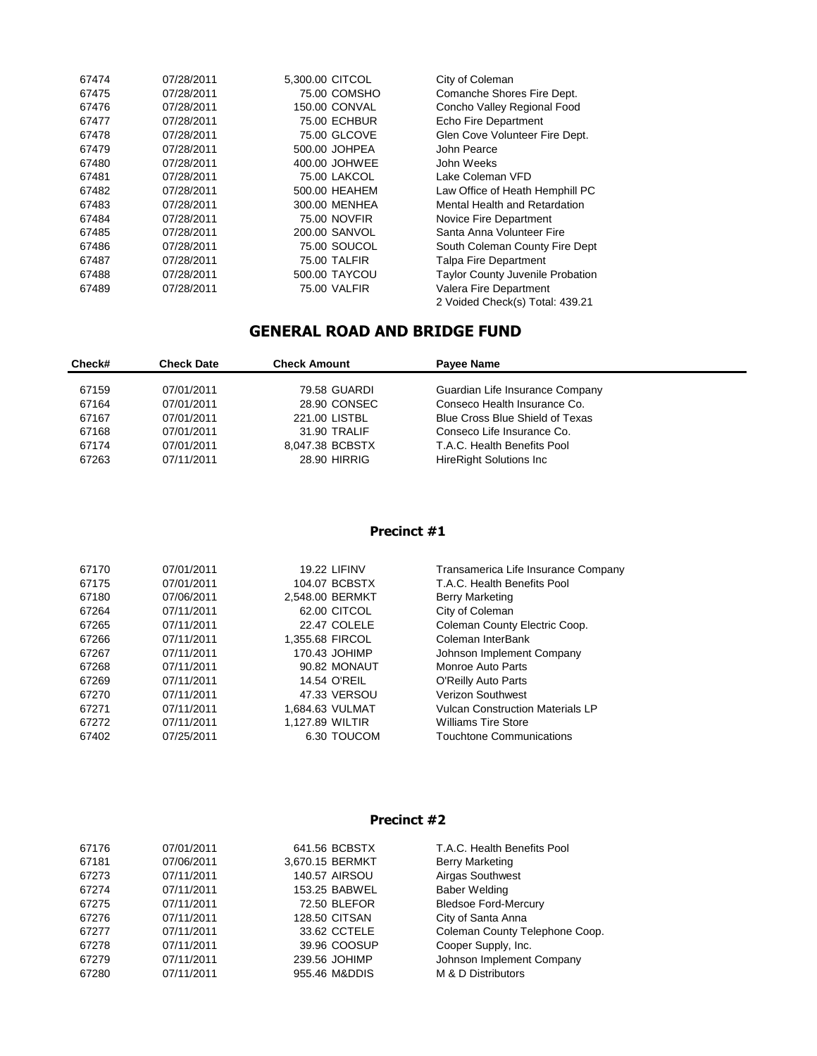| 67474 | 07/28/2011 | 5,300.00 CITCOL      | City of Coleman                         |
|-------|------------|----------------------|-----------------------------------------|
| 67475 | 07/28/2011 | 75.00 COMSHO         | Comanche Shores Fire Dept.              |
| 67476 | 07/28/2011 | <b>150.00 CONVAL</b> | Concho Valley Regional Food             |
| 67477 | 07/28/2011 | <b>75.00 ECHBUR</b>  | Echo Fire Department                    |
| 67478 | 07/28/2011 | 75.00 GLCOVE         | Glen Cove Volunteer Fire Dept.          |
| 67479 | 07/28/2011 | 500.00 JOHPEA        | John Pearce                             |
| 67480 | 07/28/2011 | 400.00 JOHWEE        | John Weeks                              |
| 67481 | 07/28/2011 | <b>75.00 LAKCOL</b>  | Lake Coleman VFD                        |
| 67482 | 07/28/2011 | 500.00 HEAHEM        | Law Office of Heath Hemphill PC         |
| 67483 | 07/28/2011 | 300.00 MENHEA        | Mental Health and Retardation           |
| 67484 | 07/28/2011 | 75.00 NOVFIR         | Novice Fire Department                  |
| 67485 | 07/28/2011 | 200.00 SANVOL        | Santa Anna Volunteer Fire               |
| 67486 | 07/28/2011 | 75.00 SOUCOL         | South Coleman County Fire Dept          |
| 67487 | 07/28/2011 | 75.00 TALFIR         | <b>Talpa Fire Department</b>            |
| 67488 | 07/28/2011 | 500.00 TAYCOU        | <b>Taylor County Juvenile Probation</b> |
| 67489 | 07/28/2011 | 75.00 VALFIR         | Valera Fire Department                  |
|       |            |                      | 2 Voided Check(s) Total: 439.21         |

# **GENERAL ROAD AND BRIDGE FUND**

| Check# | <b>Check Date</b> | <b>Check Amount</b> | Payee Name                      |  |
|--------|-------------------|---------------------|---------------------------------|--|
|        |                   |                     |                                 |  |
| 67159  | 07/01/2011        | 79.58 GUARDI        | Guardian Life Insurance Company |  |
| 67164  | 07/01/2011        | 28.90 CONSEC        | Conseco Health Insurance Co.    |  |
| 67167  | 07/01/2011        | 221.00 LISTBL       | Blue Cross Blue Shield of Texas |  |
| 67168  | 07/01/2011        | 31.90 TRALIF        | Conseco Life Insurance Co.      |  |
| 67174  | 07/01/2011        | 8,047.38 BCBSTX     | T.A.C. Health Benefits Pool     |  |
| 67263  | 07/11/2011        | <b>28.90 HIRRIG</b> | <b>HireRight Solutions Inc.</b> |  |
|        |                   |                     |                                 |  |

## **Precinct #1**

| 67170 | 07/01/2011 | <b>19.22 LIFINV</b> | Transamerica Life Insurance Company     |
|-------|------------|---------------------|-----------------------------------------|
| 67175 | 07/01/2011 | 104.07 BCBSTX       | T.A.C. Health Benefits Pool             |
| 67180 | 07/06/2011 | 2.548.00 BERMKT     | <b>Berry Marketing</b>                  |
| 67264 | 07/11/2011 | 62.00 CITCOL        | City of Coleman                         |
| 67265 | 07/11/2011 | 22.47 COLELE        | Coleman County Electric Coop.           |
| 67266 | 07/11/2011 | 1,355.68 FIRCOL     | Coleman InterBank                       |
| 67267 | 07/11/2011 | 170.43 JOHIMP       | Johnson Implement Company               |
| 67268 | 07/11/2011 | 90.82 MONAUT        | Monroe Auto Parts                       |
| 67269 | 07/11/2011 | 14.54 O'REIL        | O'Reilly Auto Parts                     |
| 67270 | 07/11/2011 | 47.33 VERSOU        | Verizon Southwest                       |
| 67271 | 07/11/2011 | 1.684.63 VULMAT     | <b>Vulcan Construction Materials LP</b> |
| 67272 | 07/11/2011 | 1.127.89 WILTIR     | <b>Williams Tire Store</b>              |
| 67402 | 07/25/2011 | 6.30 TOUCOM         | Touchtone Communications                |

## **Precinct #2**

| 67176 | 07/01/2011 | 641.56 BCBSTX        | T.A.C. Health Benefits Pool    |
|-------|------------|----------------------|--------------------------------|
| 67181 | 07/06/2011 | 3,670.15 BERMKT      | <b>Berry Marketing</b>         |
| 67273 | 07/11/2011 | <b>140.57 AIRSOU</b> | Airgas Southwest               |
| 67274 | 07/11/2011 | 153.25 BABWEL        | <b>Baber Welding</b>           |
| 67275 | 07/11/2011 | 72.50 BLEFOR         | <b>Bledsoe Ford-Mercury</b>    |
| 67276 | 07/11/2011 | <b>128.50 CITSAN</b> | City of Santa Anna             |
| 67277 | 07/11/2011 | 33.62 CCTELE         | Coleman County Telephone Coop. |
| 67278 | 07/11/2011 | 39.96 COOSUP         | Cooper Supply, Inc.            |
| 67279 | 07/11/2011 | 239.56 JOHIMP        | Johnson Implement Company      |
| 67280 | 07/11/2011 | 955.46 M&DDIS        | M & D Distributors             |